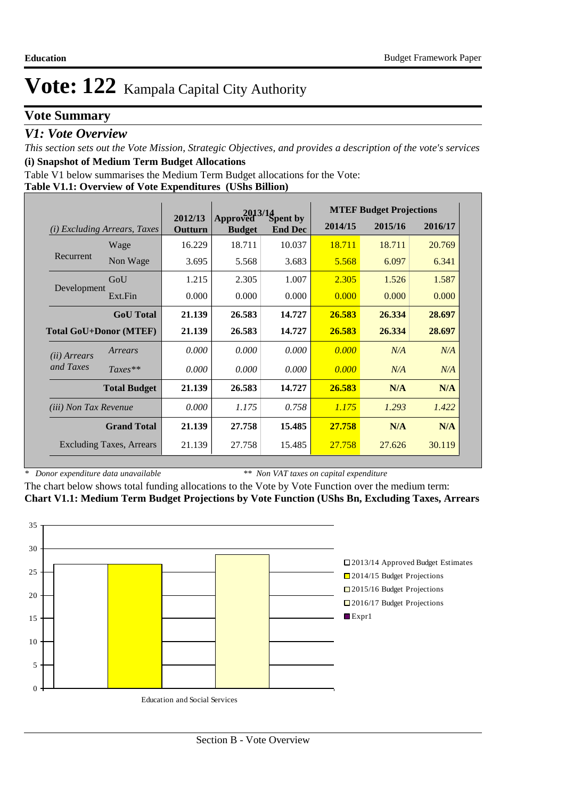# **Vote Summary**

## *V1: Vote Overview*

*This section sets out the Vote Mission, Strategic Objectives, and provides a description of the vote's services* **(i) Snapshot of Medium Term Budget Allocations** 

Table V1 below summarises the Medium Term Budget allocations for the Vote:

#### **Table V1.1: Overview of Vote Expenditures (UShs Billion)**

|                                        |                     |                    |                           | $2013/14$<br>ved $S$ pent by | <b>MTEF Budget Projections</b> |         |         |  |
|----------------------------------------|---------------------|--------------------|---------------------------|------------------------------|--------------------------------|---------|---------|--|
| <b>Excluding Arrears, Taxes</b><br>(i) |                     | 2012/13<br>Outturn | Approved<br><b>Budget</b> | <b>End Dec</b>               | 2014/15                        | 2015/16 | 2016/17 |  |
|                                        | Wage                | 16.229             | 18.711                    | 10.037                       | 18.711                         | 18.711  | 20.769  |  |
| Recurrent                              | Non Wage            | 3.695              | 5.568                     | 3.683                        | 5.568                          | 6.097   | 6.341   |  |
|                                        | GoU                 | 1.215              | 2.305                     | 1.007                        | 2.305                          | 1.526   | 1.587   |  |
| Development                            | Ext.Fin             | 0.000              | 0.000                     | 0.000                        | 0.000                          | 0.000   | 0.000   |  |
|                                        | <b>GoU</b> Total    | 21.139             | 26.583                    | 14.727                       | 26.583                         | 26.334  | 28.697  |  |
| <b>Total GoU+Donor (MTEF)</b>          |                     | 21.139             | 26.583                    | 14.727                       | 26.583                         | 26.334  | 28.697  |  |
| ( <i>ii</i> ) Arrears                  | Arrears             | 0.000              | 0.000                     | 0.000                        | 0.000                          | N/A     | N/A     |  |
| and Taxes                              | $Taxes**$           | 0.000              | 0.000                     | 0.000                        | 0.000                          | N/A     | N/A     |  |
|                                        | <b>Total Budget</b> | 21.139             | 26.583                    | 14.727                       | 26.583                         | N/A     | N/A     |  |
| <i>(iii)</i> Non Tax Revenue           |                     | 0.000              | 1.175                     | 0.758                        | 1.175                          | 1.293   | 1.422   |  |
|                                        | <b>Grand Total</b>  | 21.139             | 27.758                    | 15.485                       | 27.758                         | N/A     | N/A     |  |
| <b>Excluding Taxes, Arrears</b>        |                     | 21.139             | 27.758                    | 15.485                       | 27.758                         | 27.626  | 30.119  |  |

*\* Donor expenditure data unavailable*

*\*\* Non VAT taxes on capital expenditure*

The chart below shows total funding allocations to the Vote by Vote Function over the medium term: **Chart V1.1: Medium Term Budget Projections by Vote Function (UShs Bn, Excluding Taxes, Arrears**

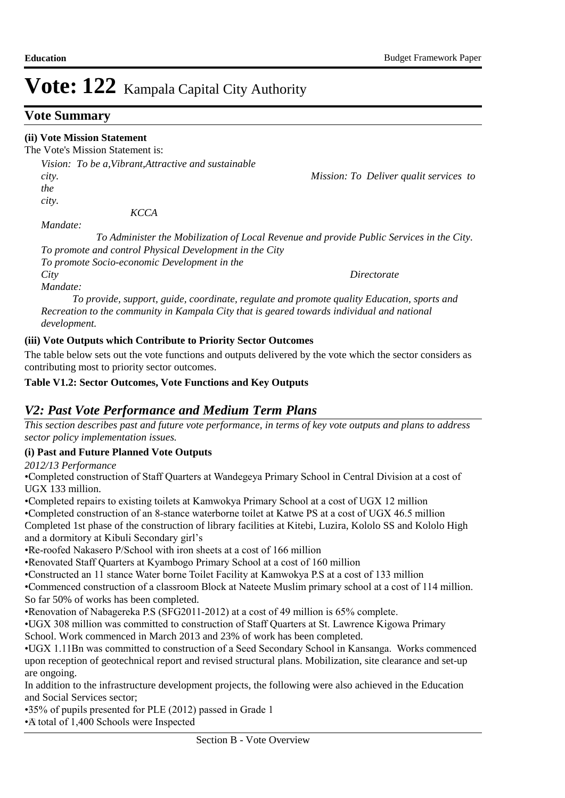## **Vote Summary**

## **(ii) Vote Mission Statement**

The Vote's Mission Statement is:

*Vision: To be a,Vibrant,Attractive and sustainable city. Mission: To Deliver qualit services to the city.* 

 *KCCA* 

*Mandate:* 

 *To Administer the Mobilization of Local Revenue and provide Public Services in the City. To promote and control Physical Development in the City To promote Socio-economic Development in the* 

*Mandate:* 

*City Directorate* 

 *To provide, support, guide, coordinate, regulate and promote quality Education, sports and Recreation to the community in Kampala City that is geared towards individual and national development.*

## **(iii) Vote Outputs which Contribute to Priority Sector Outcomes**

The table below sets out the vote functions and outputs delivered by the vote which the sector considers as contributing most to priority sector outcomes.

**Table V1.2: Sector Outcomes, Vote Functions and Key Outputs** 

## *V2: Past Vote Performance and Medium Term Plans*

*This section describes past and future vote performance, in terms of key vote outputs and plans to address sector policy implementation issues.* 

### **(i) Past and Future Planned Vote Outputs**

*2012/13 Performance*

• Completed construction of Staff Quarters at Wandegeya Primary School in Central Division at a cost of UGX 133 million.

• Completed repairs to existing toilets at Kamwokya Primary School at a cost of UGX 12 million

• Completed construction of an 8-stance waterborne toilet at Katwe PS at a cost of UGX 46.5 million Completed 1st phase of the construction of library facilities at Kitebi, Luzira, Kololo SS and Kololo High and a dormitory at Kibuli Secondary girl's

• Re-roofed Nakasero P/School with iron sheets at a cost of 166 million

• Renovated Staff Quarters at Kyambogo Primary School at a cost of 160 million

• Constructed an 11 stance Water borne Toilet Facility at Kamwokya P.S at a cost of 133 million

• Commenced construction of a classroom Block at Nateete Muslim primary school at a cost of 114 million. So far 50% of works has been completed.

• Renovation of Nabagereka P.S (SFG2011-2012) at a cost of 49 million is 65% complete.

• UGX 308 million was committed to construction of Staff Quarters at St. Lawrence Kigowa Primary School. Work commenced in March 2013 and 23% of work has been completed.

• UGX 1.11Bn was committed to construction of a Seed Secondary School in Kansanga. Works commenced upon reception of geotechnical report and revised structural plans. Mobilization, site clearance and set-up are ongoing.

In addition to the infrastructure development projects, the following were also achieved in the Education and Social Services sector;

• 35% of pupils presented for PLE (2012) passed in Grade 1

•A total of 1,400 Schools were Inspected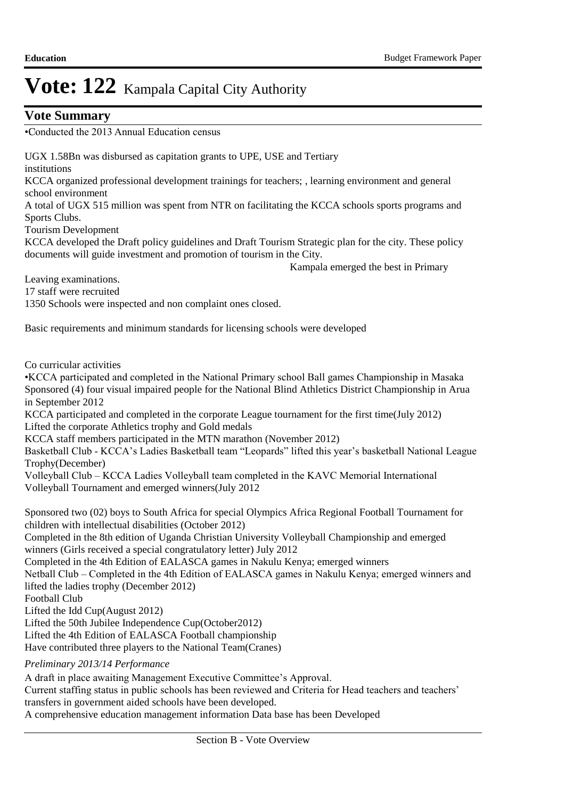## **Vote Summary**

•Conducted the 2013 Annual Education census

UGX 1.58Bn was disbursed as capitation grants to UPE, USE and Tertiary institutions KCCA organized professional development trainings for teachers; , learning environment and general school environment A total of UGX 515 million was spent from NTR on facilitating the KCCA schools sports programs and Sports Clubs. Tourism Development KCCA developed the Draft policy guidelines and Draft Tourism Strategic plan for the city. These policy documents will guide investment and promotion of tourism in the City. Kampala emerged the best in Primary Leaving examinations. 17 staff were recruited 1350 Schools were inspected and non complaint ones closed. Basic requirements and minimum standards for licensing schools were developed Co curricular activities •KCCA participated and completed in the National Primary school Ball games Championship in Masaka Sponsored (4) four visual impaired people for the National Blind Athletics District Championship in Arua in September 2012 KCCA participated and completed in the corporate League tournament for the first time(July 2012) Lifted the corporate Athletics trophy and Gold medals KCCA staff members participated in the MTN marathon (November 2012) Basketball Club - KCCA's Ladies Basketball team "Leopards" lifted this year's basketball National League Trophy(December) Volleyball Club – KCCA Ladies Volleyball team completed in the KAVC Memorial International Volleyball Tournament and emerged winners(July 2012 Sponsored two (02) boys to South Africa for special Olympics Africa Regional Football Tournament for children with intellectual disabilities (October 2012) Completed in the 8th edition of Uganda Christian University Volleyball Championship and emerged winners (Girls received a special congratulatory letter) July 2012 Completed in the 4th Edition of EALASCA games in Nakulu Kenya; emerged winners Netball Club – Completed in the 4th Edition of EALASCA games in Nakulu Kenya; emerged winners and lifted the ladies trophy (December 2012) Football Club Lifted the Idd Cup(August 2012) Lifted the 50th Jubilee Independence Cup(October2012) Lifted the 4th Edition of EALASCA Football championship Have contributed three players to the National Team(Cranes) *Preliminary 2013/14 Performance*

A draft in place awaiting Management Executive Committee's Approval.

Current staffing status in public schools has been reviewed and Criteria for Head teachers and teachers' transfers in government aided schools have been developed.

A comprehensive education management information Data base has been Developed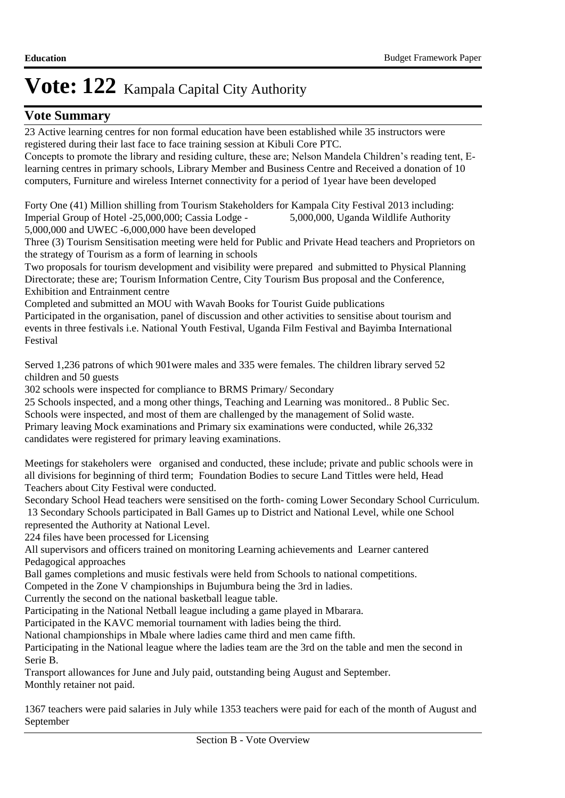## **Vote Summary**

23 Active learning centres for non formal education have been established while 35 instructors were registered during their last face to face training session at Kibuli Core PTC.

Concepts to promote the library and residing culture, these are; Nelson Mandela Children's reading tent, Elearning centres in primary schools, Library Member and Business Centre and Received a donation of 10 computers, Furniture and wireless Internet connectivity for a period of 1year have been developed

Forty One (41) Million shilling from Tourism Stakeholders for Kampala City Festival 2013 including:<br>Imperial Group of Hotel -25,000,000; Cassia Lodge - 5,000,000, Uganda Wildlife Authority Imperial Group of Hotel -25,000,000; Cassia Lodge -5,000,000 and UWEC -6,000,000 have been developed

Three (3) Tourism Sensitisation meeting were held for Public and Private Head teachers and Proprietors on the strategy of Tourism as a form of learning in schools

Two proposals for tourism development and visibility were prepared and submitted to Physical Planning Directorate; these are; Tourism Information Centre, City Tourism Bus proposal and the Conference, Exhibition and Entrainment centre

Completed and submitted an MOU with Wavah Books for Tourist Guide publications

Participated in the organisation, panel of discussion and other activities to sensitise about tourism and events in three festivals i.e. National Youth Festival, Uganda Film Festival and Bayimba International Festival

Served 1,236 patrons of which 901were males and 335 were females. The children library served 52 children and 50 guests

302 schools were inspected for compliance to BRMS Primary/ Secondary

25 Schools inspected, and a mong other things, Teaching and Learning was monitored.. 8 Public Sec. Schools were inspected, and most of them are challenged by the management of Solid waste. Primary leaving Mock examinations and Primary six examinations were conducted, while 26,332 candidates were registered for primary leaving examinations.

Meetings for stakeholers were organised and conducted, these include; private and public schools were in all divisions for beginning of third term; Foundation Bodies to secure Land Tittles were held, Head Teachers about City Festival were conducted.

Secondary School Head teachers were sensitised on the forth- coming Lower Secondary School Curriculum. 13 Secondary Schools participated in Ball Games up to District and National Level, while one School represented the Authority at National Level.

224 files have been processed for Licensing

All supervisors and officers trained on monitoring Learning achievements and Learner cantered Pedagogical approaches

Ball games completions and music festivals were held from Schools to national competitions.

Competed in the Zone V championships in Bujumbura being the 3rd in ladies.

Currently the second on the national basketball league table.

Participating in the National Netball league including a game played in Mbarara.

Participated in the KAVC memorial tournament with ladies being the third.

National championships in Mbale where ladies came third and men came fifth.

Participating in the National league where the ladies team are the 3rd on the table and men the second in Serie B.

Transport allowances for June and July paid, outstanding being August and September. Monthly retainer not paid.

1367 teachers were paid salaries in July while 1353 teachers were paid for each of the month of August and September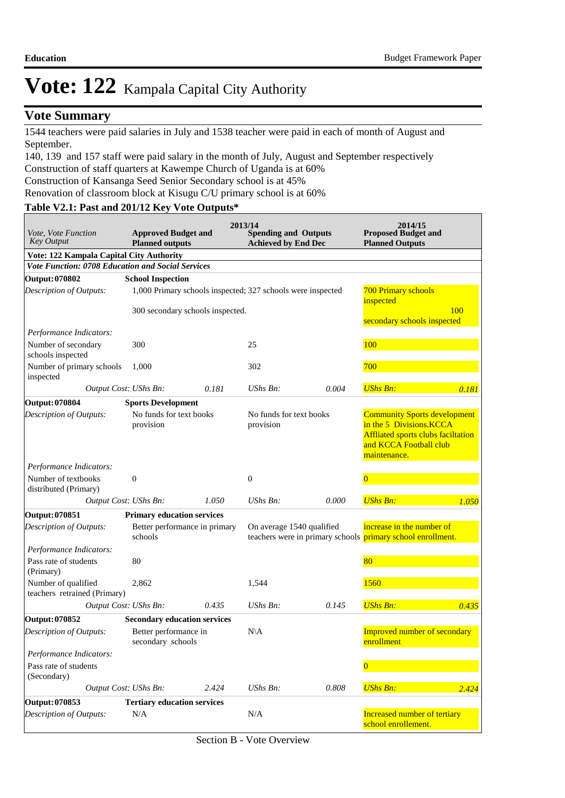## **Vote Summary**

1544 teachers were paid salaries in July and 1538 teacher were paid in each of month of August and September.

140, 139 and 157 staff were paid salary in the month of July, August and September respectively Construction of staff quarters at Kawempe Church of Uganda is at 60% Construction of Kansanga Seed Senior Secondary school is at 45%

Renovation of classroom block at Kisugu C/U primary school is at 60%

# **Table V2.1: Past and 201/12 Key Vote Outputs\***

| <i>Vote, Vote Function</i><br><b>Key Output</b>     | <b>Approved Budget and</b><br><b>Planned outputs</b> |       | 2013/14<br><b>Spending and Outputs</b><br><b>Achieved by End Dec</b> |       | 2014/15<br><b>Proposed Budget and</b><br><b>Planned Outputs</b>                                                                                |            |
|-----------------------------------------------------|------------------------------------------------------|-------|----------------------------------------------------------------------|-------|------------------------------------------------------------------------------------------------------------------------------------------------|------------|
| Vote: 122 Kampala Capital City Authority            |                                                      |       |                                                                      |       |                                                                                                                                                |            |
| Vote Function: 0708 Education and Social Services   |                                                      |       |                                                                      |       |                                                                                                                                                |            |
| Output: 070802                                      | <b>School Inspection</b>                             |       |                                                                      |       |                                                                                                                                                |            |
| Description of Outputs:                             |                                                      |       | 1,000 Primary schools inspected; 327 schools were inspected          |       | <b>700 Primary schools</b><br>inspected                                                                                                        |            |
|                                                     | 300 secondary schools inspected.                     |       |                                                                      |       | secondary schools inspected                                                                                                                    | <b>100</b> |
| Performance Indicators:                             |                                                      |       |                                                                      |       |                                                                                                                                                |            |
| Number of secondary<br>schools inspected            | 300                                                  |       | 25                                                                   |       | 100                                                                                                                                            |            |
| Number of primary schools<br>inspected              | 1,000                                                |       | 302                                                                  |       | 700                                                                                                                                            |            |
|                                                     | Output Cost: UShs Bn:                                | 0.181 | UShs Bn:                                                             | 0.004 | <b>UShs Bn:</b>                                                                                                                                | 0.181      |
| Output: 070804                                      | <b>Sports Development</b>                            |       |                                                                      |       |                                                                                                                                                |            |
| Description of Outputs:                             | No funds for text books<br>provision                 |       | No funds for text books<br>provision                                 |       | <b>Community Sports development</b><br>in the 5 Divisions.KCCA<br>Affliated sports clubs faciltation<br>and KCCA Football club<br>maintenance. |            |
| Performance Indicators:                             |                                                      |       |                                                                      |       |                                                                                                                                                |            |
| Number of textbooks<br>distributed (Primary)        | $\boldsymbol{0}$                                     |       | $\boldsymbol{0}$                                                     |       | $\overline{0}$                                                                                                                                 |            |
|                                                     | Output Cost: UShs Bn:                                | 1.050 | $UShs Bn$ :                                                          | 0.000 | <b>UShs Bn:</b>                                                                                                                                | 1.050      |
| Output: 070851                                      | <b>Primary education services</b>                    |       |                                                                      |       |                                                                                                                                                |            |
| Description of Outputs:                             | Better performance in primary<br>schools             |       | On average 1540 qualified                                            |       | increase in the number of<br>teachers were in primary schools primary school enrollment.                                                       |            |
| Performance Indicators:                             |                                                      |       |                                                                      |       |                                                                                                                                                |            |
| Pass rate of students<br>(Primary)                  | 80                                                   |       |                                                                      |       | 80                                                                                                                                             |            |
| Number of qualified<br>teachers retrained (Primary) | 2,862                                                |       | 1,544                                                                |       | 1560                                                                                                                                           |            |
|                                                     | Output Cost: UShs Bn:                                | 0.435 | UShs Bn:                                                             | 0.145 | <b>UShs Bn:</b>                                                                                                                                | 0.435      |
| Output: 070852                                      | <b>Secondary education services</b>                  |       |                                                                      |       |                                                                                                                                                |            |
| Description of Outputs:                             | Better performance in<br>secondary schools           |       | $N\setminus A$                                                       |       | <b>Improved number of secondary</b><br>enrollment                                                                                              |            |
| Performance Indicators:                             |                                                      |       |                                                                      |       |                                                                                                                                                |            |
| Pass rate of students<br>(Secondary)                |                                                      |       |                                                                      |       | $\overline{\mathbf{0}}$                                                                                                                        |            |
|                                                     | Output Cost: UShs Bn:                                | 2.424 | UShs Bn:                                                             | 0.808 | <b>UShs Bn:</b>                                                                                                                                | 2.424      |
| Output: 070853                                      | <b>Tertiary education services</b>                   |       |                                                                      |       |                                                                                                                                                |            |
| Description of Outputs:                             | N/A                                                  |       | N/A                                                                  |       | Increased number of tertiary<br>school enrollement.                                                                                            |            |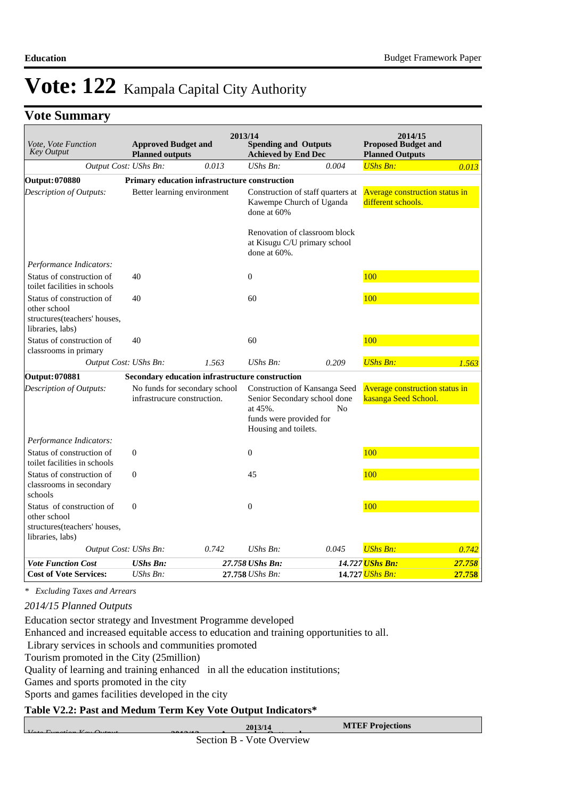## **Vote Summary**

| Vote, Vote Function<br><b>Key Output</b>                                                      | <b>Approved Budget and</b><br><b>Planned outputs</b> |                                                 | 2013/14<br><b>Spending and Outputs</b><br><b>Achieved by End Dec</b> |                                                                                 | 2014/15<br><b>Proposed Budget and</b><br><b>Planned Outputs</b> |        |
|-----------------------------------------------------------------------------------------------|------------------------------------------------------|-------------------------------------------------|----------------------------------------------------------------------|---------------------------------------------------------------------------------|-----------------------------------------------------------------|--------|
| Output Cost: UShs Bn:                                                                         |                                                      | 0.013                                           | $UShs Bn$ :                                                          | 0.004                                                                           | <b>UShs Bn:</b>                                                 | 0.013  |
| <b>Output: 070880</b>                                                                         |                                                      | Primary education infrastructure construction   |                                                                      |                                                                                 |                                                                 |        |
| Description of Outputs:                                                                       | Better learning environment                          |                                                 | done at 60%                                                          | Construction of staff quarters at<br>Kawempe Church of Uganda                   | <b>Average construction status in</b><br>different schools.     |        |
|                                                                                               |                                                      |                                                 | done at 60%.                                                         | Renovation of classroom block<br>at Kisugu C/U primary school                   |                                                                 |        |
| Performance Indicators:                                                                       |                                                      |                                                 |                                                                      |                                                                                 |                                                                 |        |
| Status of construction of<br>toilet facilities in schools                                     | 40                                                   |                                                 | $\boldsymbol{0}$                                                     |                                                                                 | 100                                                             |        |
| Status of construction of<br>other school<br>structures(teachers' houses,<br>libraries, labs) | 40                                                   |                                                 | 60                                                                   |                                                                                 | 100                                                             |        |
| Status of construction of<br>classrooms in primary                                            | 40                                                   |                                                 | 60                                                                   |                                                                                 | 100                                                             |        |
| Output Cost: UShs Bn:                                                                         |                                                      | 1.563                                           | UShs Bn:                                                             | 0.209                                                                           | <b>UShs Bn:</b>                                                 | 1.563  |
| Output: 070881                                                                                |                                                      | Secondary education infrastructure construction |                                                                      |                                                                                 |                                                                 |        |
| Description of Outputs:                                                                       | infrastrucure construction.                          | No funds for secondary school                   | at 45%.<br>funds were provided for<br>Housing and toilets.           | Construction of Kansanga Seed<br>Senior Secondary school done<br>N <sub>0</sub> | <b>Average construction status in</b><br>kasanga Seed School.   |        |
| Performance Indicators:                                                                       |                                                      |                                                 |                                                                      |                                                                                 |                                                                 |        |
| Status of construction of<br>toilet facilities in schools                                     | $\overline{0}$                                       |                                                 | $\overline{0}$                                                       |                                                                                 | 100                                                             |        |
| Status of construction of<br>classrooms in secondary<br>schools                               | $\boldsymbol{0}$                                     |                                                 | 45                                                                   |                                                                                 | 100                                                             |        |
| Status of construction of<br>other school<br>structures(teachers' houses,<br>libraries, labs) | $\mathbf{0}$                                         |                                                 | $\boldsymbol{0}$                                                     |                                                                                 | 100                                                             |        |
| Output Cost: UShs Bn:                                                                         |                                                      | 0.742                                           | UShs Bn:                                                             | 0.045                                                                           | <b>UShs Bn:</b>                                                 | 0.742  |
| <b>Vote Function Cost</b>                                                                     | <b>UShs Bn:</b>                                      |                                                 | 27.758 UShs Bn:                                                      |                                                                                 | 14.727 UShs Bn:                                                 | 27.758 |
| <b>Cost of Vote Services:</b>                                                                 | $UShs Bn$ :                                          |                                                 | 27.758 UShs Bn:                                                      |                                                                                 | 14.727 UShs Bn:                                                 | 27.758 |

*\* Excluding Taxes and Arrears*

#### *2014/15 Planned Outputs*

*Vote Function Key Output* 

Education sector strategy and Investment Programme developed

Enhanced and increased equitable access to education and training opportunities to all.

Library services in schools and communities promoted

Tourism promoted in the City (25million)

Quality of learning and training enhanced in all the education institutions;

Games and sports promoted in the city

Sports and games facilities developed in the city

### **Table V2.2: Past and Medum Term Key Vote Output Indicators\***

**MTEF Projections 2013/14**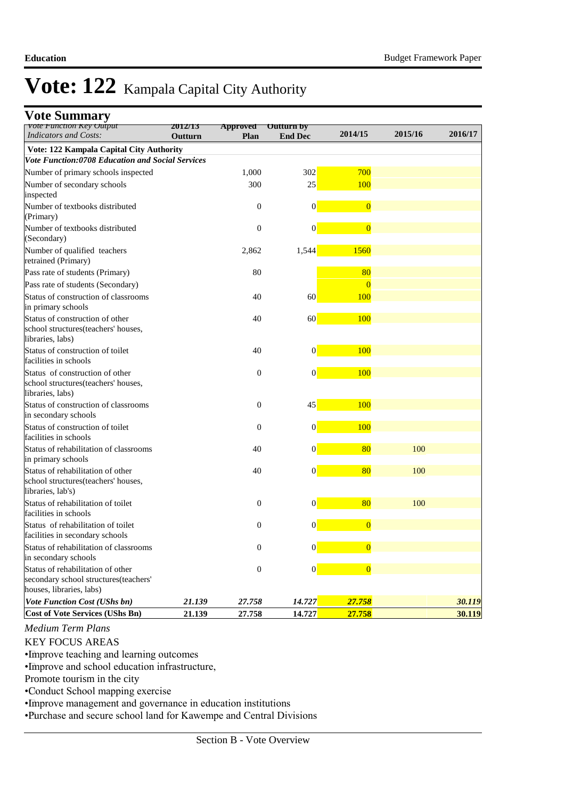## **Vote Summary**

| vote runction Key Output<br><b>Indicators and Costs:</b>                                               | 2012/15 | <b>Approved Uutturn by</b> |                  | 2014/15        | 2015/16 | 2016/17 |
|--------------------------------------------------------------------------------------------------------|---------|----------------------------|------------------|----------------|---------|---------|
|                                                                                                        | Outturn | Plan                       | <b>End Dec</b>   |                |         |         |
| Vote: 122 Kampala Capital City Authority<br>Vote Function:0708 Education and Social Services           |         |                            |                  |                |         |         |
| Number of primary schools inspected                                                                    |         | 1,000                      | 302              | 700            |         |         |
| Number of secondary schools                                                                            |         | 300                        | 25               | 100            |         |         |
| inspected                                                                                              |         |                            |                  |                |         |         |
| Number of textbooks distributed<br>(Primary)                                                           |         | $\mathbf{0}$               | $\boldsymbol{0}$ | $\overline{0}$ |         |         |
| Number of textbooks distributed<br>(Secondary)                                                         |         | $\boldsymbol{0}$           | $\boldsymbol{0}$ | $\overline{0}$ |         |         |
| Number of qualified teachers<br>retrained (Primary)                                                    |         | 2,862                      | 1,544            | 1560           |         |         |
| Pass rate of students (Primary)                                                                        |         | 80                         |                  | 80             |         |         |
| Pass rate of students (Secondary)                                                                      |         |                            |                  | $\overline{0}$ |         |         |
| Status of construction of classrooms<br>in primary schools                                             |         | 40                         | 60               | 100            |         |         |
| Status of construction of other<br>school structures(teachers' houses,<br>libraries, labs)             |         | 40                         | 60               | 100            |         |         |
| Status of construction of toilet<br>facilities in schools                                              |         | 40                         | $\boldsymbol{0}$ | 100            |         |         |
| Status of construction of other<br>school structures(teachers' houses,<br>libraries, labs)             |         | $\mathbf{0}$               | $\vert 0 \vert$  | 100            |         |         |
| Status of construction of classrooms<br>in secondary schools                                           |         | $\mathbf{0}$               | 45               | 100            |         |         |
| Status of construction of toilet<br>facilities in schools                                              |         | $\mathbf{0}$               | $\boldsymbol{0}$ | 100            |         |         |
| Status of rehabilitation of classrooms<br>in primary schools                                           |         | 40                         | $\boldsymbol{0}$ | 80             | 100     |         |
| Status of rehabilitation of other<br>school structures(teachers' houses,<br>libraries, lab's)          |         | 40                         | $\boldsymbol{0}$ | 80             | 100     |         |
| Status of rehabilitation of toilet<br>facilities in schools                                            |         | $\boldsymbol{0}$           | $\boldsymbol{0}$ | 80             | 100     |         |
| Status of rehabilitation of toilet<br>facilities in secondary schools                                  |         | $\boldsymbol{0}$           | 0                | $\overline{0}$ |         |         |
| Status of rehabilitation of classrooms<br>in secondary schools                                         |         | $\boldsymbol{0}$           | $\mathbf{0}$     | $\mathbf{0}$   |         |         |
| Status of rehabilitation of other<br>secondary school structures(teachers'<br>houses, libraries, labs) |         | $\boldsymbol{0}$           | $\vert 0 \vert$  | $\overline{0}$ |         |         |
| <b>Vote Function Cost (UShs bn)</b>                                                                    | 21.139  | 27.758                     | 14.727           | 27.758         |         | 30.119  |
| <b>Cost of Vote Services (UShs Bn)</b>                                                                 | 21.139  | 27.758                     | 14.727           | 27.758         |         | 30.119  |

## *Medium Term Plans*

### KEY FOCUS AREAS

• Improve teaching and learning outcomes

• Improve and school education infrastructure,

Promote tourism in the city

• Conduct School mapping exercise

• Improve management and governance in education institutions

• Purchase and secure school land for Kawempe and Central Divisions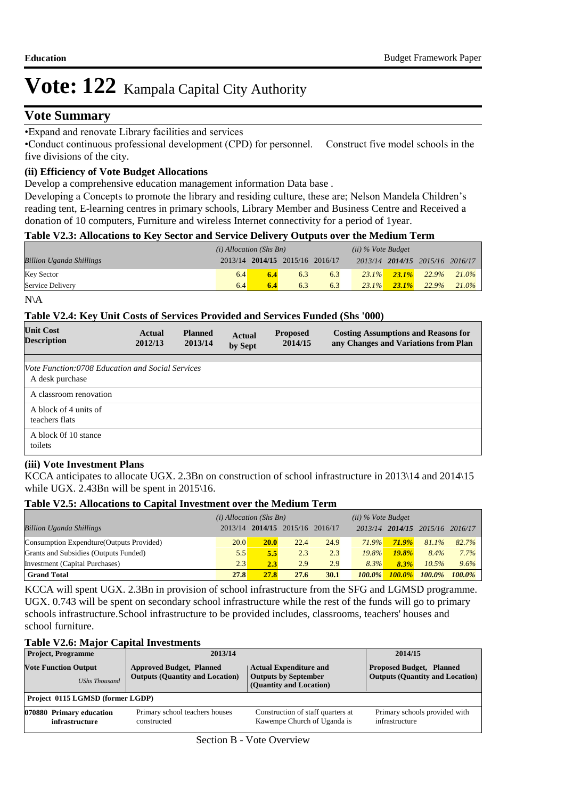## **Vote Summary**

• Expand and renovate Library facilities and services

• Conduct continuous professional development (CPD) for personnel. Construct five model schools in the five divisions of the city.

### **(ii) Efficiency of Vote Budget Allocations**

Develop a comprehensive education management information Data base .

Developing a Concepts to promote the library and residing culture, these are; Nelson Mandela Children's reading tent, E-learning centres in primary schools, Library Member and Business Centre and Received a donation of 10 computers, Furniture and wireless Internet connectivity for a period of 1year.

### **Table V2.3: Allocations to Key Sector and Service Delivery Outputs over the Medium Term**

|                                 | $(i)$ Allocation (Shs Bn) |  |                                 | $(ii)$ % Vote Budget |          |          |                                 |           |
|---------------------------------|---------------------------|--|---------------------------------|----------------------|----------|----------|---------------------------------|-----------|
| <b>Billion Uganda Shillings</b> |                           |  | 2013/14 2014/15 2015/16 2016/17 |                      |          |          | 2013/14 2014/15 2015/16 2016/17 |           |
| <b>Key Sector</b>               | 6.4                       |  | 6.3                             | 6.3                  | $23.1\%$ | $23.1\%$ | 22.9%                           | $-21.0\%$ |
| Service Delivery                | 6.4                       |  | 6.3                             | 6.3                  | $23.1\%$ | $23.1\%$ | 22.9%                           | $21.0\%$  |

N\A

#### **Table V2.4: Key Unit Costs of Services Provided and Services Funded (Shs '000)**

| <b>Unit Cost</b><br><b>Description</b>                                     | Actual<br>2012/13 | <b>Planned</b><br>2013/14 | <b>Actual</b><br>by Sept | <b>Proposed</b><br>2014/15 | <b>Costing Assumptions and Reasons for</b><br>any Changes and Variations from Plan |
|----------------------------------------------------------------------------|-------------------|---------------------------|--------------------------|----------------------------|------------------------------------------------------------------------------------|
| <i>Vote Function:0708 Education and Social Services</i><br>A desk purchase |                   |                           |                          |                            |                                                                                    |
| A classroom renovation                                                     |                   |                           |                          |                            |                                                                                    |
| A block of 4 units of<br>teachers flats                                    |                   |                           |                          |                            |                                                                                    |
| A block Of 10 stance<br>toilets                                            |                   |                           |                          |                            |                                                                                    |

### **(iii) Vote Investment Plans**

KCCA anticipates to allocate UGX. 2.3Bn on construction of school infrastructure in 2013\14 and 2014\15 while UGX. 2.43Bn will be spent in 2015\16.

#### **Table V2.5: Allocations to Capital Investment over the Medium Term**

|                                           | $(i)$ Allocation (Shs Bn) |             |                         |             | $(ii)$ % Vote Budget |               |                                 |           |
|-------------------------------------------|---------------------------|-------------|-------------------------|-------------|----------------------|---------------|---------------------------------|-----------|
| <b>Billion Uganda Shillings</b>           | 2013/14                   |             | 2014/15 2015/16 2016/17 |             |                      |               | 2013/14 2014/15 2015/16 2016/17 |           |
| Consumption Expendture (Outputs Provided) | 20.0                      | <b>20.0</b> | 22.4                    | 24.9        | 71.9%                | <b>71.9%</b>  | 81.1%                           | 82.7%     |
| Grants and Subsidies (Outputs Funded)     | 5.5                       | 5.5         | 2.3                     | 2.3         | 19.8%                | 19.8%         | $8.4\%$                         | $7.7\%$   |
| Investment (Capital Purchases)            | 2.3                       | 2.3         | 2.9                     | 2.9         | 8.3%                 | 8.3%          | 10.5%                           | 9.6%      |
| <b>Grand Total</b>                        | 27.8                      | 27.8        | 27.6                    | <b>30.1</b> | $100.0\%$            | <b>100.0%</b> | $100.0\%$                       | $100.0\%$ |

KCCA will spent UGX. 2.3Bn in provision of school infrastructure from the SFG and LGMSD programme. UGX. 0.743 will be spent on secondary school infrastructure while the rest of the funds will go to primary schools infrastructure.School infrastructure to be provided includes, classrooms, teachers' houses and school furniture.

#### **Table V2.6: Major Capital Investments**

| <b>Project, Programme</b>        | 2013/14                                | 2014/15                           |                               |
|----------------------------------|----------------------------------------|-----------------------------------|-------------------------------|
| <b>Vote Function Output</b>      | <b>Proposed Budget, Planned</b>        |                                   |                               |
| <b>UShs Thousand</b>             | <b>Outputs (Quantity and Location)</b> |                                   |                               |
| Project 0115 LGMSD (former LGDP) |                                        |                                   |                               |
| 070880 Primary education         | Primary school teachers houses         | Construction of staff quarters at | Primary schools provided with |
| infrastructure                   | constructed                            | Kawempe Church of Uganda is       | infrastructure                |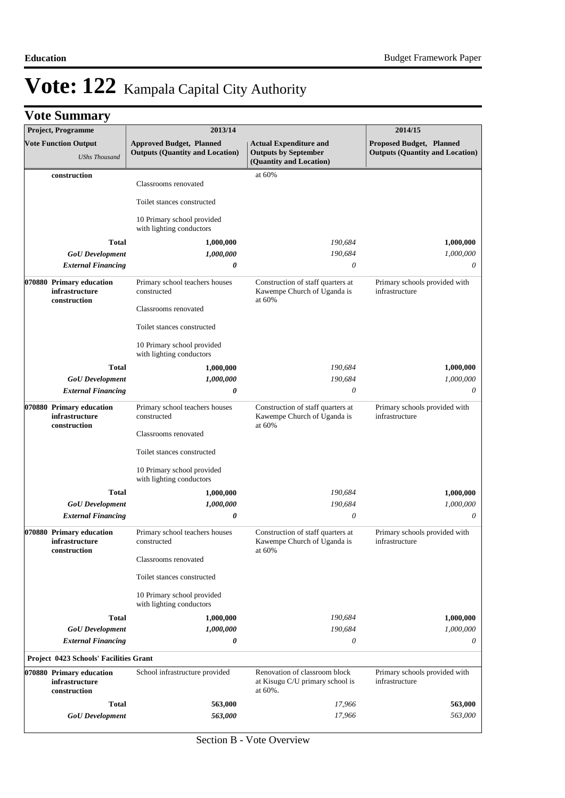|  | <b>Vote Summary</b> |  |
|--|---------------------|--|
|--|---------------------|--|

| <b>Project, Programme</b> |                                                            | 2013/14                                                                   |                                                                                         | 2014/15                                                            |
|---------------------------|------------------------------------------------------------|---------------------------------------------------------------------------|-----------------------------------------------------------------------------------------|--------------------------------------------------------------------|
|                           | <b>Vote Function Output</b><br><b>UShs Thousand</b>        | <b>Approved Budget, Planned</b><br><b>Outputs (Quantity and Location)</b> | <b>Actual Expenditure and</b><br><b>Outputs by September</b><br>(Quantity and Location) | Proposed Budget, Planned<br><b>Outputs (Quantity and Location)</b> |
| construction              |                                                            | Classrooms renovated                                                      | at 60%                                                                                  |                                                                    |
|                           |                                                            | Toilet stances constructed                                                |                                                                                         |                                                                    |
|                           |                                                            | 10 Primary school provided<br>with lighting conductors                    |                                                                                         |                                                                    |
|                           | <b>Total</b>                                               | 1,000,000                                                                 | 190,684                                                                                 | 1,000,000                                                          |
|                           | <b>GoU</b> Development                                     | 1,000,000                                                                 | 190,684                                                                                 | 1,000,000                                                          |
|                           | <b>External Financing</b>                                  | 0                                                                         | 0                                                                                       | 0                                                                  |
|                           | 070880 Primary education<br>infrastructure                 | Primary school teachers houses<br>constructed                             | Construction of staff quarters at<br>Kawempe Church of Uganda is                        | Primary schools provided with<br>infrastructure                    |
|                           | construction                                               | Classrooms renovated                                                      | at 60%                                                                                  |                                                                    |
|                           |                                                            | Toilet stances constructed                                                |                                                                                         |                                                                    |
|                           |                                                            | 10 Primary school provided<br>with lighting conductors                    |                                                                                         |                                                                    |
|                           | <b>Total</b>                                               | 1,000,000                                                                 | 190,684                                                                                 | 1,000,000                                                          |
|                           | <b>GoU</b> Development                                     | 1,000,000                                                                 | 190,684                                                                                 | 1,000,000                                                          |
|                           | <b>External Financing</b>                                  | 0                                                                         | $\theta$                                                                                | 0                                                                  |
|                           | 070880 Primary education<br>infrastructure<br>construction | Primary school teachers houses<br>constructed                             | Construction of staff quarters at<br>Kawempe Church of Uganda is<br>at 60%              | Primary schools provided with<br>infrastructure                    |
|                           |                                                            | Classrooms renovated                                                      |                                                                                         |                                                                    |
|                           |                                                            | Toilet stances constructed                                                |                                                                                         |                                                                    |
|                           |                                                            | 10 Primary school provided<br>with lighting conductors                    |                                                                                         |                                                                    |
|                           | <b>Total</b>                                               | 1,000,000                                                                 | 190,684                                                                                 | 1,000,000                                                          |
|                           | <b>GoU</b> Development                                     | 1,000,000                                                                 | 190,684                                                                                 | 1,000,000                                                          |
|                           | <b>External Financing</b>                                  | 0                                                                         | $\theta$                                                                                | 0                                                                  |
|                           | 070880 Primary education<br>infrastructure                 | Primary school teachers houses<br>constructed                             | Construction of staff quarters at<br>Kawempe Church of Uganda is                        | Primary schools provided with<br>infrastructure                    |
|                           | construction                                               | Classrooms renovated                                                      | at $60%$                                                                                |                                                                    |
|                           |                                                            | Toilet stances constructed                                                |                                                                                         |                                                                    |
|                           |                                                            | 10 Primary school provided<br>with lighting conductors                    |                                                                                         |                                                                    |
|                           | <b>Total</b>                                               | 1,000,000                                                                 | 190,684                                                                                 | 1,000,000                                                          |
|                           | <b>GoU</b> Development                                     | 1,000,000                                                                 | 190,684                                                                                 | 1,000,000                                                          |
|                           | <b>External Financing</b>                                  | 0                                                                         | $\theta$                                                                                | 0                                                                  |
|                           | <b>Project 0423 Schools' Facilities Grant</b>              |                                                                           |                                                                                         |                                                                    |
|                           | 070880 Primary education                                   | School infrastructure provided                                            | Renovation of classroom block                                                           | Primary schools provided with                                      |
|                           | infrastructure<br>construction                             |                                                                           | at Kisugu C/U primary school is<br>at 60%.                                              | infrastructure                                                     |
|                           | <b>Total</b>                                               | 563,000                                                                   | 17,966                                                                                  | 563,000                                                            |
|                           | <b>GoU</b> Development                                     | 563,000                                                                   | 17,966                                                                                  | 563,000                                                            |
|                           |                                                            |                                                                           |                                                                                         |                                                                    |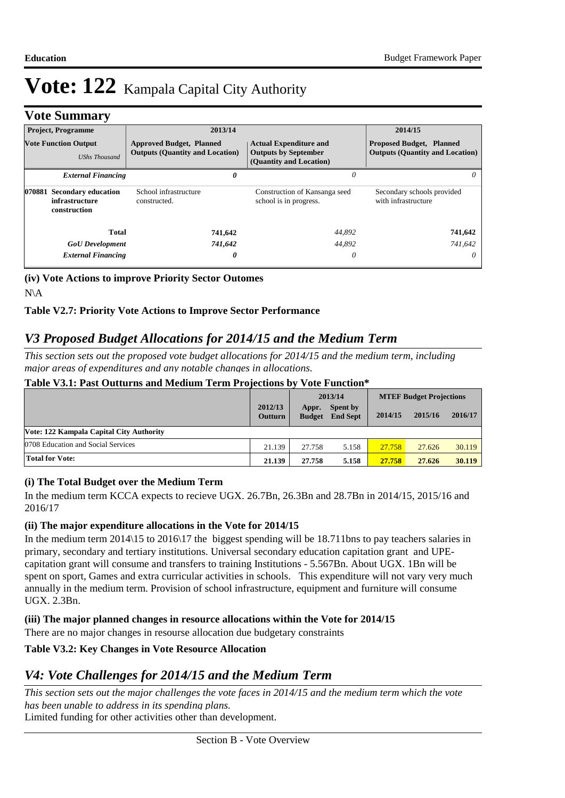## **Vote Summary**

|                                                     | <b>Project, Programme</b>                                    | 2013/14                                                                   |                                                                                         | 2014/15                                                                   |
|-----------------------------------------------------|--------------------------------------------------------------|---------------------------------------------------------------------------|-----------------------------------------------------------------------------------------|---------------------------------------------------------------------------|
| <b>Vote Function Output</b><br><b>UShs Thousand</b> |                                                              | <b>Approved Budget, Planned</b><br><b>Outputs (Quantity and Location)</b> | <b>Actual Expenditure and</b><br><b>Outputs by September</b><br>(Quantity and Location) | <b>Proposed Budget, Planned</b><br><b>Outputs (Quantity and Location)</b> |
|                                                     | <b>External Financing</b>                                    |                                                                           | 0<br>0                                                                                  | $\theta$                                                                  |
| 070881                                              | <b>Secondary education</b><br>infrastructure<br>construction | School infrastructure<br>constructed.                                     | Construction of Kansanga seed<br>school is in progress.                                 | Secondary schools provided<br>with infrastructure                         |
|                                                     | Total                                                        | 741,642                                                                   | 44,892                                                                                  | 741,642                                                                   |
|                                                     | <b>GoU</b> Development                                       | 741,642                                                                   | 44.892                                                                                  | 741.642                                                                   |
|                                                     | <b>External Financing</b>                                    |                                                                           | 0<br>0                                                                                  | $\theta$                                                                  |

**(iv) Vote Actions to improve Priority Sector Outomes** N\A

## **Table V2.7: Priority Vote Actions to Improve Sector Performance**

# *V3 Proposed Budget Allocations for 2014/15 and the Medium Term*

*This section sets out the proposed vote budget allocations for 2014/15 and the medium term, including major areas of expenditures and any notable changes in allocations.* 

#### **Table V3.1: Past Outturns and Medium Term Projections by Vote Function\***

|                                          |                           |                        | 2013/14                            | <b>MTEF Budget Projections</b> |         |         |
|------------------------------------------|---------------------------|------------------------|------------------------------------|--------------------------------|---------|---------|
|                                          | 2012/13<br><b>Outturn</b> | Appr.<br><b>Budget</b> | <b>Spent by</b><br><b>End Sept</b> | 2014/15                        | 2015/16 | 2016/17 |
| Vote: 122 Kampala Capital City Authority |                           |                        |                                    |                                |         |         |
| 0708 Education and Social Services       | 21.139                    | 27.758                 | 5.158                              | 27.758                         | 27.626  | 30.119  |
| <b>Total for Vote:</b>                   | 21.139                    | 27.758                 | 5.158                              | 27.758                         | 27.626  | 30.119  |

### **(i) The Total Budget over the Medium Term**

In the medium term KCCA expects to recieve UGX. 26.7Bn, 26.3Bn and 28.7Bn in 2014/15, 2015/16 and 2016/17

### **(ii) The major expenditure allocations in the Vote for 2014/15**

In the medium term 2014\15 to 2016\17 the biggest spending will be 18.711bns to pay teachers salaries in primary, secondary and tertiary institutions. Universal secondary education capitation grant and UPEcapitation grant will consume and transfers to training Institutions - 5.567Bn. About UGX. 1Bn will be spent on sport, Games and extra curricular activities in schools. This expenditure will not vary very much annually in the medium term. Provision of school infrastructure, equipment and furniture will consume UGX. 2.3Bn.

### **(iii) The major planned changes in resource allocations within the Vote for 2014/15**

There are no major changes in resourse allocation due budgetary constraints

### **Table V3.2: Key Changes in Vote Resource Allocation**

## *V4: Vote Challenges for 2014/15 and the Medium Term*

Limited funding for other activities other than development. *This section sets out the major challenges the vote faces in 2014/15 and the medium term which the vote has been unable to address in its spending plans.*